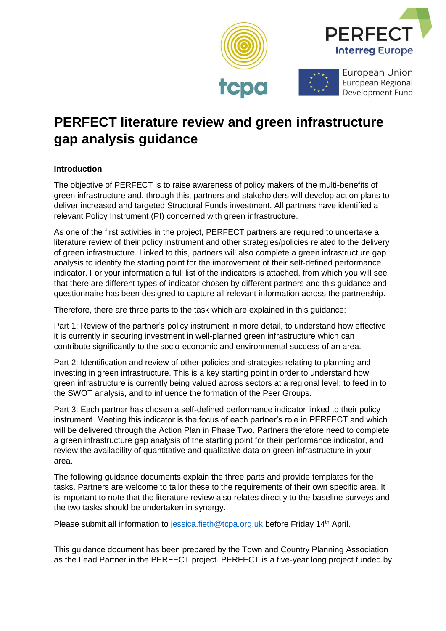





European Union European Regional Development Fund

# **PERFECT literature review and green infrastructure gap analysis guidance**

# **Introduction**

The objective of PERFECT is to raise awareness of policy makers of the multi-benefits of green infrastructure and, through this, partners and stakeholders will develop action plans to deliver increased and targeted Structural Funds investment. All partners have identified a relevant Policy Instrument (PI) concerned with green infrastructure.

As one of the first activities in the project, PERFECT partners are required to undertake a literature review of their policy instrument and other strategies/policies related to the delivery of green infrastructure. Linked to this, partners will also complete a green infrastructure gap analysis to identify the starting point for the improvement of their self-defined performance indicator. For your information a full list of the indicators is attached, from which you will see that there are different types of indicator chosen by different partners and this guidance and questionnaire has been designed to capture all relevant information across the partnership.

Therefore, there are three parts to the task which are explained in this guidance:

Part 1: Review of the partner's policy instrument in more detail, to understand how effective it is currently in securing investment in well-planned green infrastructure which can contribute significantly to the socio-economic and environmental success of an area.

Part 2: Identification and review of other policies and strategies relating to planning and investing in green infrastructure. This is a key starting point in order to understand how green infrastructure is currently being valued across sectors at a regional level; to feed in to the SWOT analysis, and to influence the formation of the Peer Groups.

Part 3: Each partner has chosen a self-defined performance indicator linked to their policy instrument. Meeting this indicator is the focus of each partner's role in PERFECT and which will be delivered through the Action Plan in Phase Two. Partners therefore need to complete a green infrastructure gap analysis of the starting point for their performance indicator, and review the availability of quantitative and qualitative data on green infrastructure in your area.

The following guidance documents explain the three parts and provide templates for the tasks. Partners are welcome to tailor these to the requirements of their own specific area. It is important to note that the literature review also relates directly to the baseline surveys and the two tasks should be undertaken in synergy.

Please submit all information to [jessica.fieth@tcpa.org.uk](mailto:jessica.fieth@tcpa.org.uk) before Friday 14<sup>th</sup> April.

This guidance document has been prepared by the Town and Country Planning Association as the Lead Partner in the PERFECT project. PERFECT is a five-year long project funded by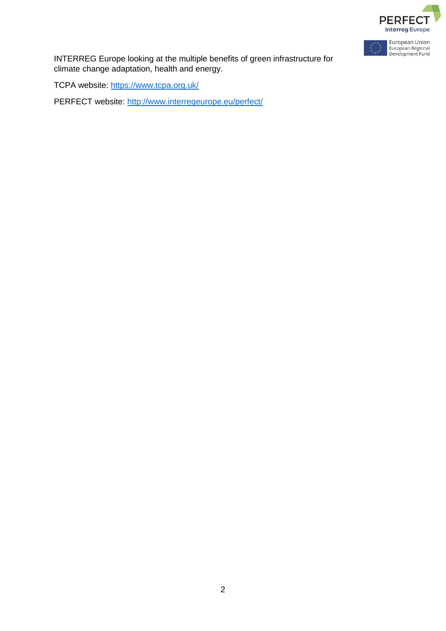



INTERREG Europe looking at the multiple benefits of green infrastructure for climate change adaptation, health and energy.

TCPA website:<https://www.tcpa.org.uk/>

PERFECT website:<http://www.interregeurope.eu/perfect/>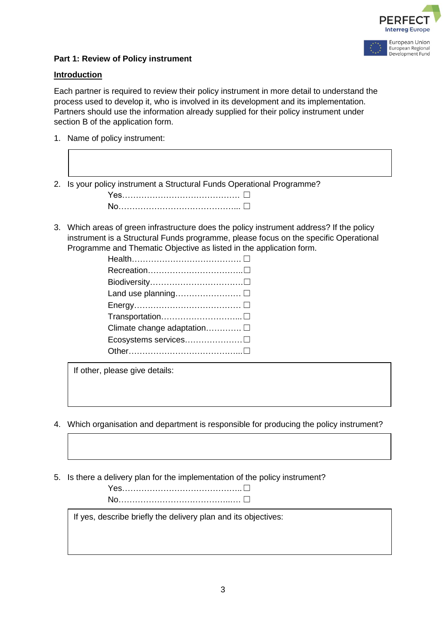



#### **Introduction**

Each partner is required to review their policy instrument in more detail to understand the process used to develop it, who is involved in its development and its implementation. Partners should use the information already supplied for their policy instrument under section B of the application form.

1. Name of policy instrument:

2. Is your policy instrument a Structural Funds Operational Programme?

Yes…………………………… □ No……………………………… □

3. Which areas of green infrastructure does the policy instrument address? If the policy instrument is a Structural Funds programme, please focus on the specific Operational Programme and Thematic Objective as listed in the application form.

| Climate change adaptation □ |
|-----------------------------|
|                             |
|                             |
|                             |

If other, please give details:

- 4. Which organisation and department is responsible for producing the policy instrument?
- 5. Is there a delivery plan for the implementation of the policy instrument?

If yes, describe briefly the delivery plan and its objectives: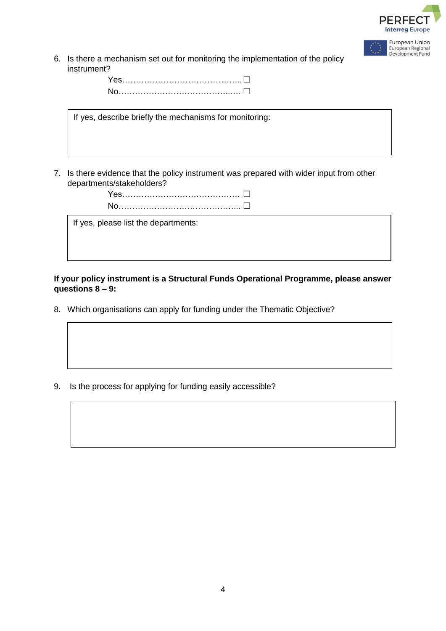

European Regional Development Fund

6. Is there a mechanism set out for monitoring the implementation of the policy instrument?

| Yes…………………………………………∟ |  |
|----------------------|--|
|                      |  |

If yes, describe briefly the mechanisms for monitoring:

7. Is there evidence that the policy instrument was prepared with wider input from other departments/stakeholders?



If yes, please list the departments:

**If your policy instrument is a Structural Funds Operational Programme, please answer questions 8 – 9:**

8. Which organisations can apply for funding under the Thematic Objective?

9. Is the process for applying for funding easily accessible?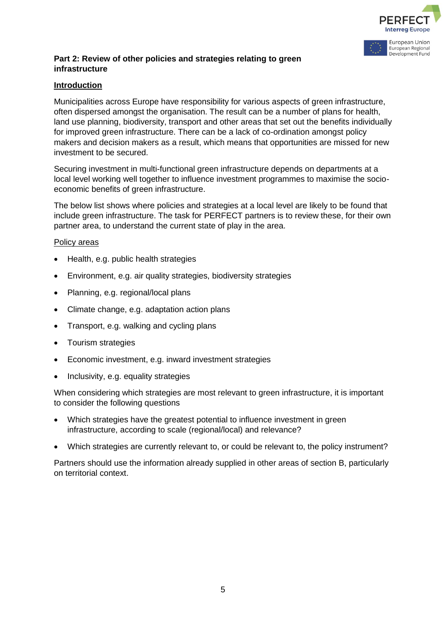

# **Part 2: Review of other policies and strategies relating to green infrastructure**

# **Introduction**

Municipalities across Europe have responsibility for various aspects of green infrastructure, often dispersed amongst the organisation. The result can be a number of plans for health, land use planning, biodiversity, transport and other areas that set out the benefits individually for improved green infrastructure. There can be a lack of co-ordination amongst policy makers and decision makers as a result, which means that opportunities are missed for new investment to be secured.

Securing investment in multi-functional green infrastructure depends on departments at a local level working well together to influence investment programmes to maximise the socioeconomic benefits of green infrastructure.

The below list shows where policies and strategies at a local level are likely to be found that include green infrastructure. The task for PERFECT partners is to review these, for their own partner area, to understand the current state of play in the area.

#### Policy areas

- Health, e.g. public health strategies
- Environment, e.g. air quality strategies, biodiversity strategies
- Planning, e.g. regional/local plans
- Climate change, e.g. adaptation action plans
- Transport, e.g. walking and cycling plans
- Tourism strategies
- Economic investment, e.g. inward investment strategies
- Inclusivity, e.g. equality strategies

When considering which strategies are most relevant to green infrastructure, it is important to consider the following questions

- Which strategies have the greatest potential to influence investment in green infrastructure, according to scale (regional/local) and relevance?
- Which strategies are currently relevant to, or could be relevant to, the policy instrument?

Partners should use the information already supplied in other areas of section B, particularly on territorial context.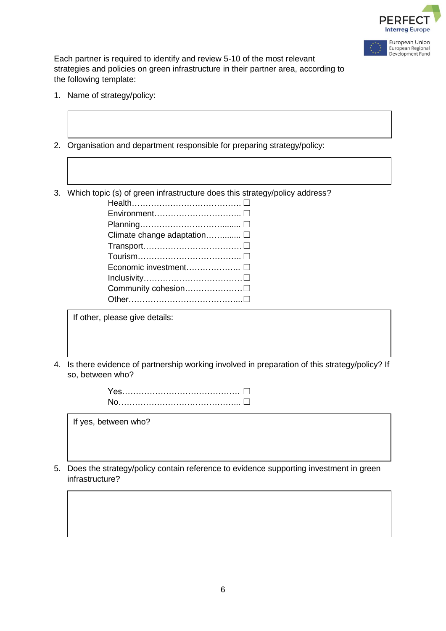



Each partner is required to identify and review 5-10 of the most relevant strategies and policies on green infrastructure in their partner area, according to the following template:

- 1. Name of strategy/policy:
- 2. Organisation and department responsible for preparing strategy/policy:

3. Which topic (s) of green infrastructure does this strategy/policy address?

| Climate change adaptation □ |
|-----------------------------|
|                             |
|                             |
|                             |
|                             |
|                             |
|                             |

If other, please give details:

4. Is there evidence of partnership working involved in preparation of this strategy/policy? If so, between who?

| <u>Yes……………………………………………</u> |  |
|-----------------------------|--|
|                             |  |

If yes, between who?

5. Does the strategy/policy contain reference to evidence supporting investment in green infrastructure?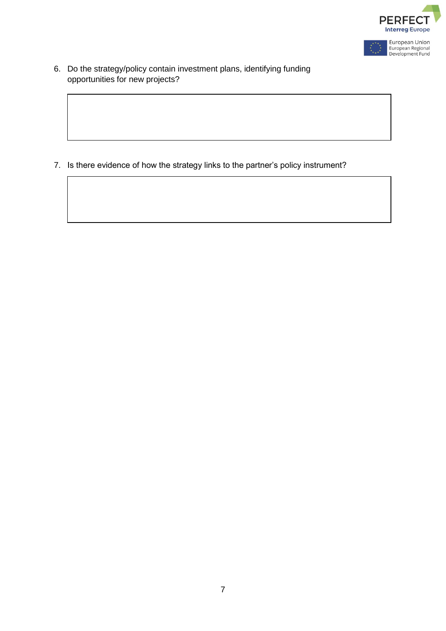

6. Do the strategy/policy contain investment plans, identifying funding opportunities for new projects?

7. Is there evidence of how the strategy links to the partner's policy instrument?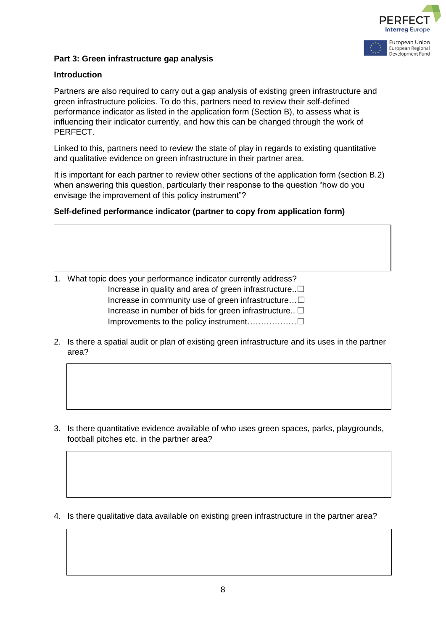

# **Part 3: Green infrastructure gap analysis**

#### **Introduction**

Partners are also required to carry out a gap analysis of existing green infrastructure and green infrastructure policies. To do this, partners need to review their self-defined performance indicator as listed in the application form (Section B), to assess what is influencing their indicator currently, and how this can be changed through the work of PERFECT.

Linked to this, partners need to review the state of play in regards to existing quantitative and qualitative evidence on green infrastructure in their partner area.

It is important for each partner to review other sections of the application form (section B.2) when answering this question, particularly their response to the question "how do you envisage the improvement of this policy instrument"?

#### **Self-defined performance indicator (partner to copy from application form)**

- 1. What topic does your performance indicator currently address? Increase in quality and area of green infrastructure..☐ Increase in community use of green infrastructure…☐ Increase in number of bids for green infrastructure..  $\Box$ Improvements to the policy instrument………………☐
- 2. Is there a spatial audit or plan of existing green infrastructure and its uses in the partner area?

3. Is there quantitative evidence available of who uses green spaces, parks, playgrounds, football pitches etc. in the partner area?

4. Is there qualitative data available on existing green infrastructure in the partner area?